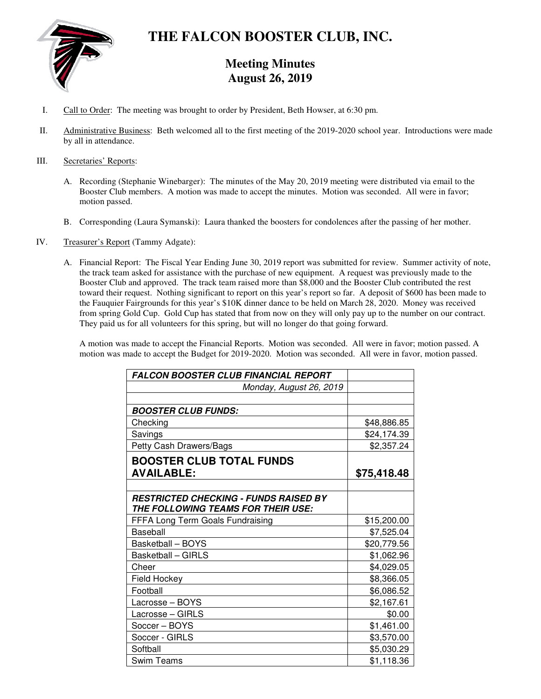

# **THE FALCON BOOSTER CLUB, INC.**

# **Meeting Minutes August 26, 2019**

- I. Call to Order: The meeting was brought to order by President, Beth Howser, at 6:30 pm.
- II. Administrative Business: Beth welcomed all to the first meeting of the 2019-2020 school year. Introductions were made by all in attendance.

#### III. Secretaries' Reports:

- A. Recording (Stephanie Winebarger): The minutes of the May 20, 2019 meeting were distributed via email to the Booster Club members. A motion was made to accept the minutes. Motion was seconded. All were in favor; motion passed.
- B. Corresponding (Laura Symanski): Laura thanked the boosters for condolences after the passing of her mother.
- IV. Treasurer's Report (Tammy Adgate):
	- A. Financial Report: The Fiscal Year Ending June 30, 2019 report was submitted for review. Summer activity of note, the track team asked for assistance with the purchase of new equipment. A request was previously made to the Booster Club and approved. The track team raised more than \$8,000 and the Booster Club contributed the rest toward their request. Nothing significant to report on this year's report so far. A deposit of \$600 has been made to the Fauquier Fairgrounds for this year's \$10K dinner dance to be held on March 28, 2020. Money was received from spring Gold Cup. Gold Cup has stated that from now on they will only pay up to the number on our contract. They paid us for all volunteers for this spring, but will no longer do that going forward.

A motion was made to accept the Financial Reports. Motion was seconded. All were in favor; motion passed. A motion was made to accept the Budget for 2019-2020. Motion was seconded. All were in favor, motion passed.

| <b>FALCON BOOSTER CLUB FINANCIAL REPORT</b>                                        |             |
|------------------------------------------------------------------------------------|-------------|
| Monday, August 26, 2019                                                            |             |
|                                                                                    |             |
| <b>BOOSTER CLUB FUNDS:</b>                                                         |             |
| Checking                                                                           | \$48,886.85 |
| Savings                                                                            | \$24,174.39 |
| Petty Cash Drawers/Bags                                                            | \$2,357.24  |
| <b>BOOSTER CLUB TOTAL FUNDS</b>                                                    |             |
| <b>AVAILABLE:</b>                                                                  | \$75,418.48 |
|                                                                                    |             |
| <b>RESTRICTED CHECKING - FUNDS RAISED BY</b><br>THE FOLLOWING TEAMS FOR THEIR USE: |             |
| FFFA Long Term Goals Fundraising                                                   | \$15,200.00 |
| Baseball                                                                           | \$7,525.04  |
| Basketball - BOYS                                                                  | \$20,779.56 |
| <b>Basketball - GIRLS</b>                                                          | \$1,062.96  |
| Cheer                                                                              | \$4,029.05  |
| Field Hockey                                                                       | \$8,366.05  |
| Football                                                                           | \$6,086.52  |
| Lacrosse - BOYS                                                                    | \$2,167.61  |
| Lacrosse - GIRLS                                                                   | \$0.00      |
| Soccer - BOYS                                                                      | \$1,461.00  |
| Soccer - GIRLS                                                                     | \$3,570.00  |
| Softball                                                                           | \$5,030.29  |
| Swim Teams                                                                         | \$1,118.36  |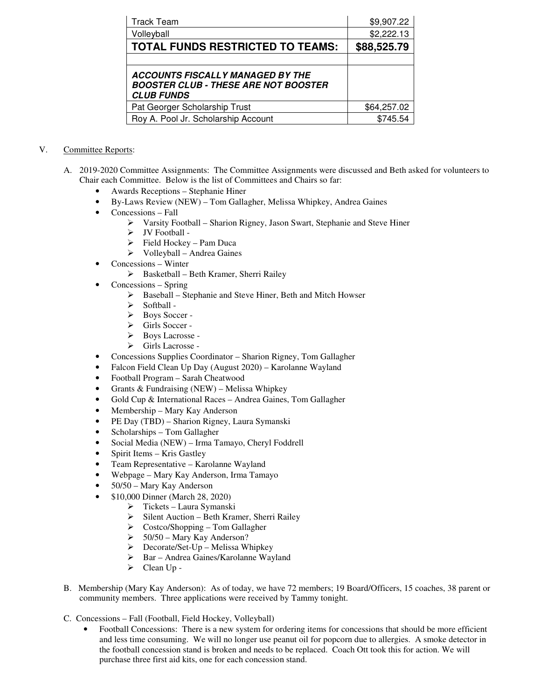| <b>Track Team</b>                                                                                           | \$9,907.22  |
|-------------------------------------------------------------------------------------------------------------|-------------|
| Volleyball                                                                                                  | \$2,222.13  |
| <b>TOTAL FUNDS RESTRICTED TO TEAMS:</b>                                                                     | \$88,525.79 |
|                                                                                                             |             |
| <b>ACCOUNTS FISCALLY MANAGED BY THE</b><br><b>BOOSTER CLUB - THESE ARE NOT BOOSTER</b><br><b>CLUB FUNDS</b> |             |
| Pat Georger Scholarship Trust                                                                               | \$64,257.02 |
| Roy A. Pool Jr. Scholarship Account                                                                         | \$745.54    |

## V. Committee Reports:

- A. 2019-2020 Committee Assignments: The Committee Assignments were discussed and Beth asked for volunteers to Chair each Committee. Below is the list of Committees and Chairs so far:
	- Awards Receptions Stephanie Hiner
		- By-Laws Review (NEW) Tom Gallagher, Melissa Whipkey, Andrea Gaines
	- Concessions Fall
		- Varsity Football Sharion Rigney, Jason Swart, Stephanie and Steve Hiner
		- > JV Football -
		- $\triangleright$  Field Hockey Pam Duca
		- Volleyball Andrea Gaines
	- Concessions Winter
		- $\triangleright$  Basketball Beth Kramer, Sherri Railey
	- Concessions Spring
		- $\triangleright \quad \text{Baseball} \text{Stephanie} \text{ and Steve Hiner, Beth and Mitchell Howser}$
		- Softball -
		- $\triangleright$  Boys Soccer -
		- $\triangleright$  Girls Soccer -<br> $\triangleright$  Bovs Lacrosse
		- Boys Lacrosse -
		- Girls Lacrosse -
	- Concessions Supplies Coordinator Sharion Rigney, Tom Gallagher
	- Falcon Field Clean Up Day (August 2020) Karolanne Wayland
	- Football Program Sarah Cheatwood
	- Grants & Fundraising (NEW) Melissa Whipkey
	- Gold Cup & International Races Andrea Gaines, Tom Gallagher
	- Membership Mary Kay Anderson
	- PE Day (TBD) Sharion Rigney, Laura Symanski
	- Scholarships Tom Gallagher
	- Social Media (NEW) Irma Tamayo, Cheryl Foddrell
	- Spirit Items Kris Gastley
	- Team Representative Karolanne Wayland
	- Webpage Mary Kay Anderson, Irma Tamayo
	- 50/50 Mary Kay Anderson
	- \$10,000 Dinner (March 28, 2020)
		- $\triangleright$  Tickets Laura Symanski<br> $\triangleright$  Silent Auction Beth Kran
		- Silent Auction Beth Kramer, Sherri Railey
		- $\geq$  Costco/Shopping Tom Gallagher<br> $\geq$  50/50 Mary Kay Anderson?
		- 50/50 Mary Kay Anderson?
		- $\triangleright$  Decorate/Set-Up Melissa Whipkey
		- Bar Andrea Gaines/Karolanne Wayland
		- $\triangleright$  Clean Up -
- B. Membership (Mary Kay Anderson): As of today, we have 72 members; 19 Board/Officers, 15 coaches, 38 parent or community members. Three applications were received by Tammy tonight.
- C. Concessions Fall (Football, Field Hockey, Volleyball)
	- Football Concessions: There is a new system for ordering items for concessions that should be more efficient and less time consuming. We will no longer use peanut oil for popcorn due to allergies. A smoke detector in the football concession stand is broken and needs to be replaced. Coach Ott took this for action. We will purchase three first aid kits, one for each concession stand.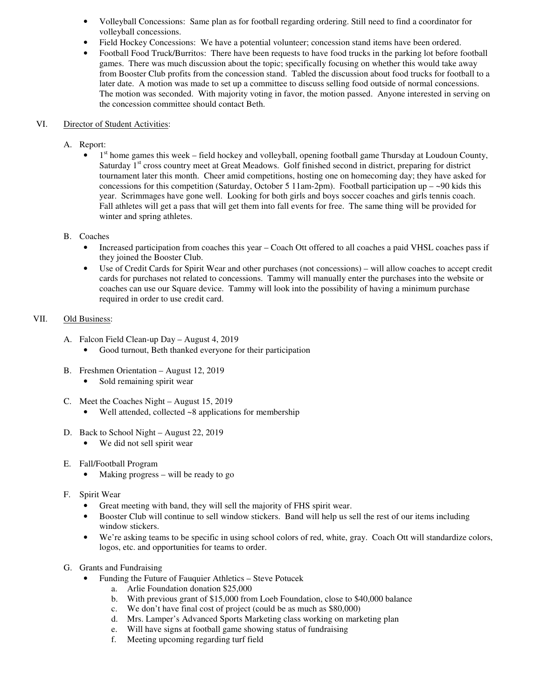- Volleyball Concessions: Same plan as for football regarding ordering. Still need to find a coordinator for volleyball concessions.
- Field Hockey Concessions: We have a potential volunteer; concession stand items have been ordered.
- Football Food Truck/Burritos: There have been requests to have food trucks in the parking lot before football games. There was much discussion about the topic; specifically focusing on whether this would take away from Booster Club profits from the concession stand. Tabled the discussion about food trucks for football to a later date. A motion was made to set up a committee to discuss selling food outside of normal concessions. The motion was seconded. With majority voting in favor, the motion passed. Anyone interested in serving on the concession committee should contact Beth.

#### VI. Director of Student Activities:

- A. Report:
	- $\bullet$  1<sup>st</sup> home games this week field hockey and volleyball, opening football game Thursday at Loudoun County, Saturday 1<sup>st</sup> cross country meet at Great Meadows. Golf finished second in district, preparing for district tournament later this month. Cheer amid competitions, hosting one on homecoming day; they have asked for concessions for this competition (Saturday, October 5 11am-2pm). Football participation up  $-\sim 90$  kids this year. Scrimmages have gone well. Looking for both girls and boys soccer coaches and girls tennis coach. Fall athletes will get a pass that will get them into fall events for free. The same thing will be provided for winter and spring athletes.

#### B. Coaches

- Increased participation from coaches this year Coach Ott offered to all coaches a paid VHSL coaches pass if they joined the Booster Club.
- Use of Credit Cards for Spirit Wear and other purchases (not concessions) will allow coaches to accept credit cards for purchases not related to concessions. Tammy will manually enter the purchases into the website or coaches can use our Square device. Tammy will look into the possibility of having a minimum purchase required in order to use credit card.

#### VII. Old Business:

- A. Falcon Field Clean-up Day August 4, 2019
	- Good turnout, Beth thanked everyone for their participation
- B. Freshmen Orientation August 12, 2019
	- Sold remaining spirit wear
- C. Meet the Coaches Night August 15, 2019
	- Well attended, collected  $\sim$ 8 applications for membership
- D. Back to School Night August 22, 2019
	- We did not sell spirit wear
- E. Fall/Football Program
	- Making progress will be ready to go
- F. Spirit Wear
	- Great meeting with band, they will sell the majority of FHS spirit wear.
	- Booster Club will continue to sell window stickers. Band will help us sell the rest of our items including window stickers.
	- We're asking teams to be specific in using school colors of red, white, gray. Coach Ott will standardize colors, logos, etc. and opportunities for teams to order.
- G. Grants and Fundraising
	- Funding the Future of Fauquier Athletics Steve Potucek
		- a. Arlie Foundation donation \$25,000
		- b. With previous grant of \$15,000 from Loeb Foundation, close to \$40,000 balance
		- c. We don't have final cost of project (could be as much as \$80,000)
		- d. Mrs. Lamper's Advanced Sports Marketing class working on marketing plan
		- e. Will have signs at football game showing status of fundraising
		- f. Meeting upcoming regarding turf field